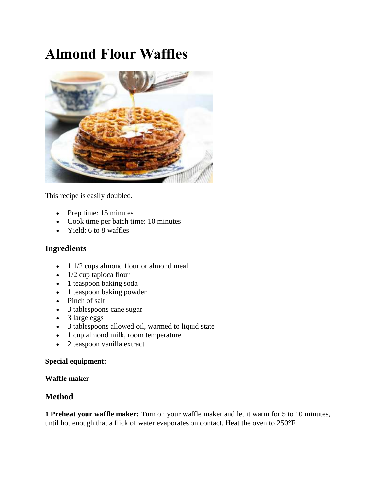# **Almond Flour Waffles**



This recipe is easily doubled.

- Prep time: 15 minutes
- Cook time per batch time: 10 minutes
- Yield: 6 to 8 waffles

## **Ingredients**

- 1 1/2 cups almond flour or almond meal
- $\bullet$  1/2 cup tapioca flour
- 1 teaspoon baking soda
- 1 teaspoon baking powder
- Pinch of salt
- 3 tablespoons cane sugar
- 3 large eggs
- 3 tablespoons allowed oil, warmed to liquid state
- 1 cup almond milk, room temperature
- 2 teaspoon vanilla extract

#### **Special equipment:**

#### **Waffle maker**

### **Method**

**1 Preheat your waffle maker:** Turn on your waffle maker and let it warm for 5 to 10 minutes, until hot enough that a flick of water evaporates on contact. Heat the oven to 250°F.